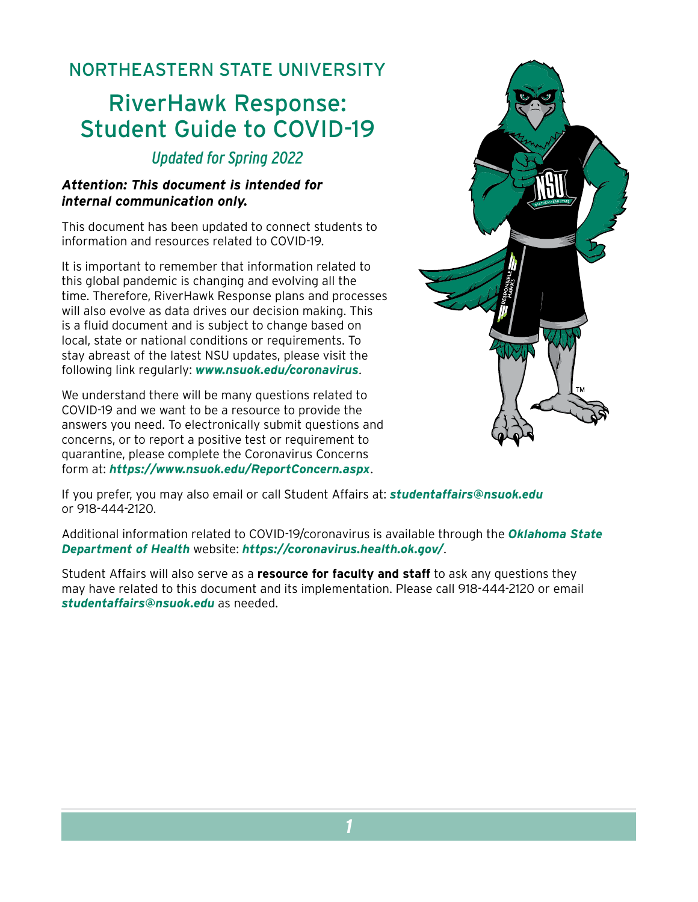## NORTHEASTERN STATE UNIVERSITY

# RiverHawk Response: Student Guide to COVID-19

## *Updated for Spring 2022*

#### *Attention: This document is intended for internal communication only.*

This document has been updated to connect students to information and resources related to COVID-19.

It is important to remember that information related to this global pandemic is changing and evolving all the time. Therefore, RiverHawk Response plans and processes will also evolve as data drives our decision making. This is a fluid document and is subject to change based on local, state or national conditions or requirements. To stay abreast of the latest NSU updates, please visit the following link regularly: *[www.nsuok.edu/coronavirus](https://offices.nsuok.edu/studentaffairs/Coronavirus)*.

We understand there will be many questions related to COVID-19 and we want to be a resource to provide the answers you need. To electronically submit questions and concerns, or to report a positive test or requirement to quarantine, please complete the Coronavirus Concerns form at: *<https://www.nsuok.edu/ReportConcern.aspx>*.



If you prefer, you may also email or call Student Affairs at: *[studentaffairs@nsuok.edu](mailto:studentaffairs%40nsuok.edu?subject=)* or 918-444-2120.

Additional information related to COVID-19/coronavirus is available through the *[Oklahoma State](https://www.coronavirus.health.ok.gov/)  [Department of Health](https://www.coronavirus.health.ok.gov/)* website: *[https://coronavirus.health.ok.gov/](https://www.coronavirus.health.ok.gov/)*.

Student Affairs will also serve as a **resource for faculty and staff** to ask any questions they may have related to this document and its implementation. Please call 918-444-2120 or email *[studentaffairs@nsuok.edu](mailto:studentaffairs%40nsuok.edu?subject=)* as needed.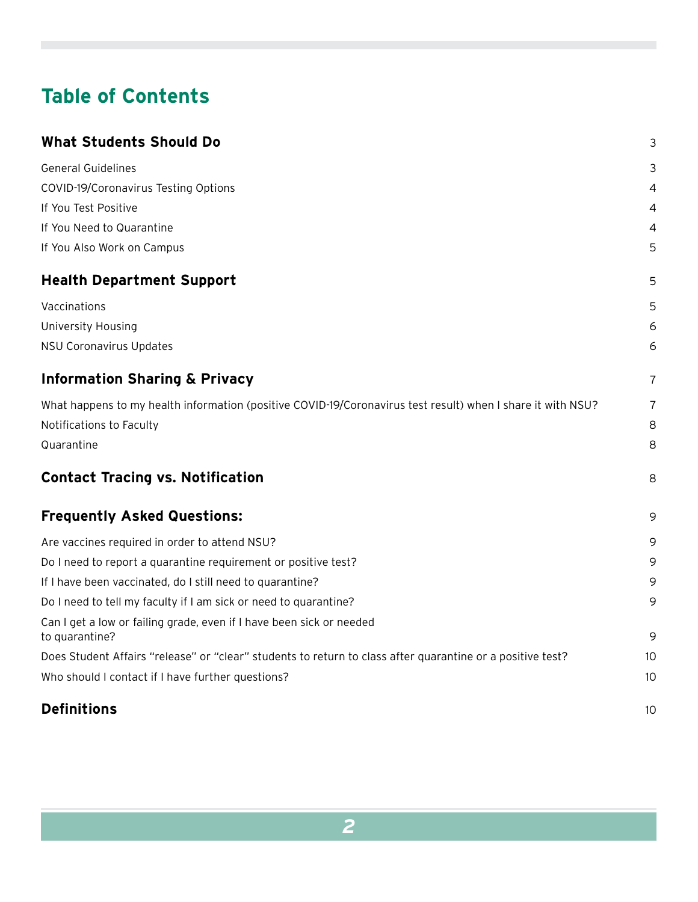## **Table of Contents**

| <b>What Students Should Do</b>                                                                              | 3  |
|-------------------------------------------------------------------------------------------------------------|----|
| <b>General Guidelines</b>                                                                                   | 3  |
| COVID-19/Coronavirus Testing Options                                                                        | 4  |
| If You Test Positive                                                                                        | 4  |
| If You Need to Quarantine                                                                                   | 4  |
| If You Also Work on Campus                                                                                  | 5  |
| <b>Health Department Support</b>                                                                            | 5  |
| Vaccinations                                                                                                | 5  |
| University Housing                                                                                          | 6  |
| <b>NSU Coronavirus Updates</b>                                                                              | 6  |
| <b>Information Sharing &amp; Privacy</b>                                                                    | 7  |
| What happens to my health information (positive COVID-19/Coronavirus test result) when I share it with NSU? | 7  |
| Notifications to Faculty                                                                                    | 8  |
| Quarantine                                                                                                  | 8  |
| <b>Contact Tracing vs. Notification</b>                                                                     | 8  |
| <b>Frequently Asked Questions:</b>                                                                          | 9  |
| Are vaccines required in order to attend NSU?                                                               | 9  |
| Do I need to report a quarantine requirement or positive test?                                              | 9  |
| If I have been vaccinated, do I still need to quarantine?                                                   | 9  |
| Do I need to tell my faculty if I am sick or need to quarantine?                                            | 9  |
| Can I get a low or failing grade, even if I have been sick or needed<br>to quarantine?                      | 9  |
| Does Student Affairs "release" or "clear" students to return to class after quarantine or a positive test?  | 10 |
| Who should I contact if I have further questions?                                                           | 10 |
| <b>Definitions</b>                                                                                          | 10 |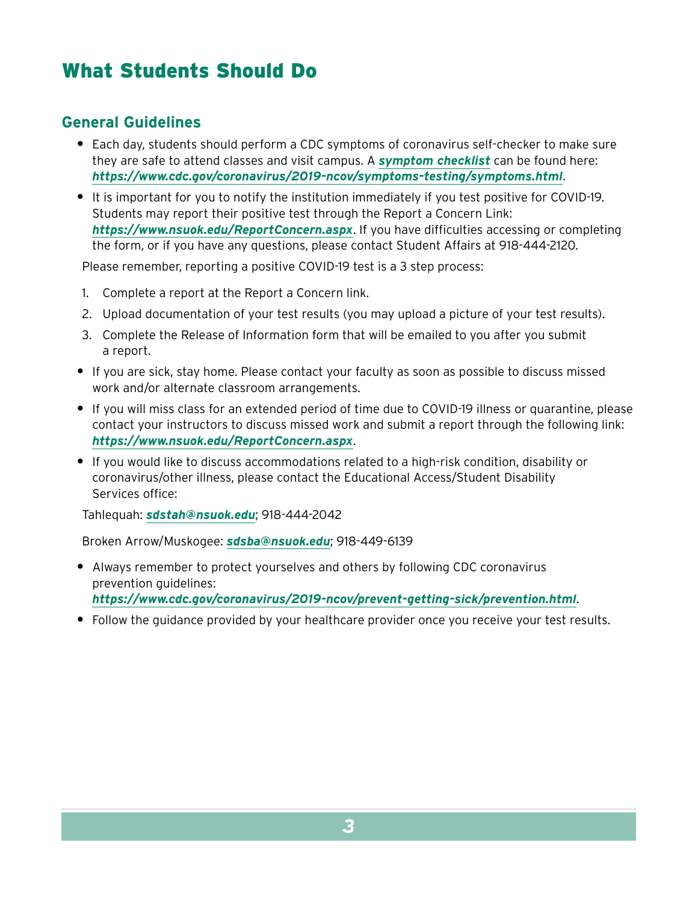## <span id="page-2-0"></span>What Students Should Do

### **General Guidelines**

- **•** Each day, students should perform a CDC symptoms of coronavirus self-checker to make sure they are safe to attend classes and visit campus. A *[symptom checklist](https://www.cdc.gov/coronavirus/2019-ncov/symptoms-testing/symptoms.html)* can be found here: *<https://www.cdc.gov/coronavirus/2019-ncov/symptoms-testing/symptoms.html>*.
- **•** It is important for you to notify the institution immediately if you test positive for COVID-19. Students may report their positive test through the Report a Concern Link: *<https://www.nsuok.edu/ReportConcern.aspx>*. If you have difficulties accessing or completing the form, or if you have any questions, please contact Student Affairs at 918-444-2120.

Please remember, reporting a positive COVID-19 test is a 3 step process:

- 1. Complete a report at the Report a Concern link.
- 2. Upload documentation of your test results (you may upload a picture of your test results).
- 3. Complete the Release of Information form that will be emailed to you after you submit a report.
- **•** If you are sick, stay home. Please contact your faculty as soon as possible to discuss missed work and/or alternate classroom arrangements.
- **•** If you will miss class for an extended period of time due to COVID-19 illness or quarantine, please contact your instructors to discuss missed work and submit a report through the following link: *<https://www.nsuok.edu/ReportConcern.aspx>*.
- **•** If you would like to discuss accommodations related to a high-risk condition, disability or coronavirus/other illness, please contact the Educational Access/Student Disability Services office:

Tahlequah: *[sdstah@nsuok.edu](mailto:sdstah%40nsuok.edu?subject=)*; 918-444-2042

Broken Arrow/Muskogee: *[sdsba@nsuok.edu](mailto:sdsba%40nsuok.edu?subject=)*; 918-449-6139

- **•** Always remember to protect yourselves and others by following CDC coronavirus prevention guidelines: *<https://www.cdc.gov/coronavirus/2019-ncov/prevent-getting-sick/prevention.html>*.
- **•** Follow the guidance provided by your healthcare provider once you receive your test results.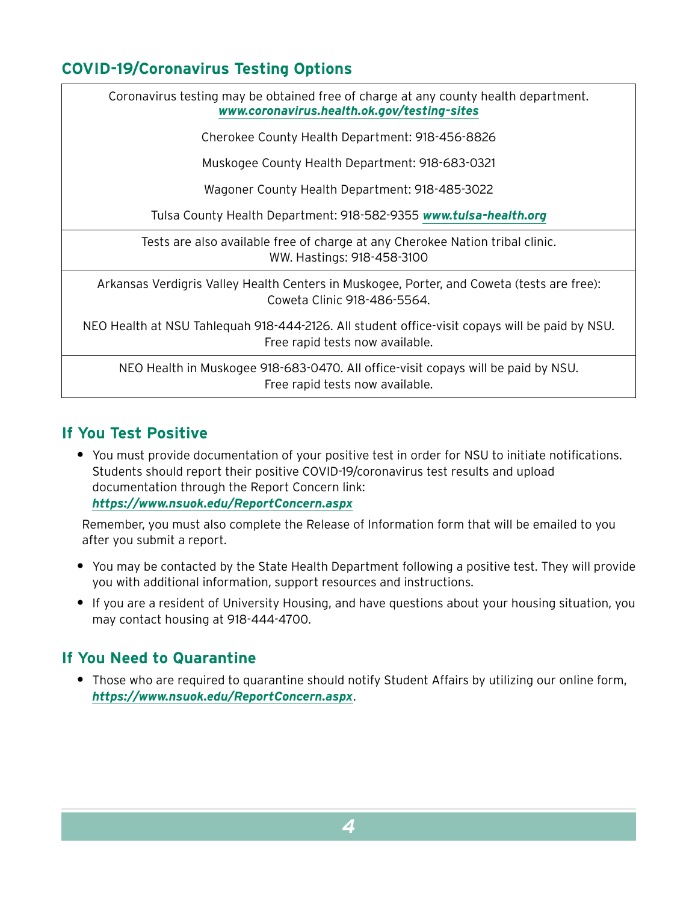## <span id="page-3-0"></span>**COVID-19/Coronavirus Testing Options**

Coronavirus testing may be obtained free of charge at any county health department. *[www.coronavirus.health.ok.gov/testing-sites](http://www.coronavirus.health.ok.gov/testing-sites)*

Cherokee County Health Department: 918-456-8826

Muskogee County Health Department: 918-683-0321

Wagoner County Health Department: 918-485-3022

Tulsa County Health Department: 918-582-9355 *[www.tulsa-health.org](http://www.tulsa-health.org)*

Tests are also available free of charge at any Cherokee Nation tribal clinic. WW. Hastings: 918-458-3100

Arkansas Verdigris Valley Health Centers in Muskogee, Porter, and Coweta (tests are free): Coweta Clinic 918-486-5564.

NEO Health at NSU Tahlequah 918-444-2126. All student office-visit copays will be paid by NSU. Free rapid tests now available.

NEO Health in Muskogee 918-683-0470. All office-visit copays will be paid by NSU. Free rapid tests now available.

#### **If You Test Positive**

**•** You must provide documentation of your positive test in order for NSU to initiate notifications. Students should report their positive COVID-19/coronavirus test results and upload documentation through the Report Concern link: *https://www.nsuok.edu/ReportConcern.aspx*

Remember, you must also complete the Release of Information form that will be emailed to you after you submit a report.

- **•** You may be contacted by the State Health Department following a positive test. They will provide you with additional information, support resources and instructions.
- **•** If you are a resident of University Housing, and have questions about your housing situation, you may contact housing at 918-444-4700.

#### **If You Need to Quarantine**

**•** Those who are required to quarantine should notify Student Affairs by utilizing our online form, *<https://www.nsuok.edu/ReportConcern.aspx>*.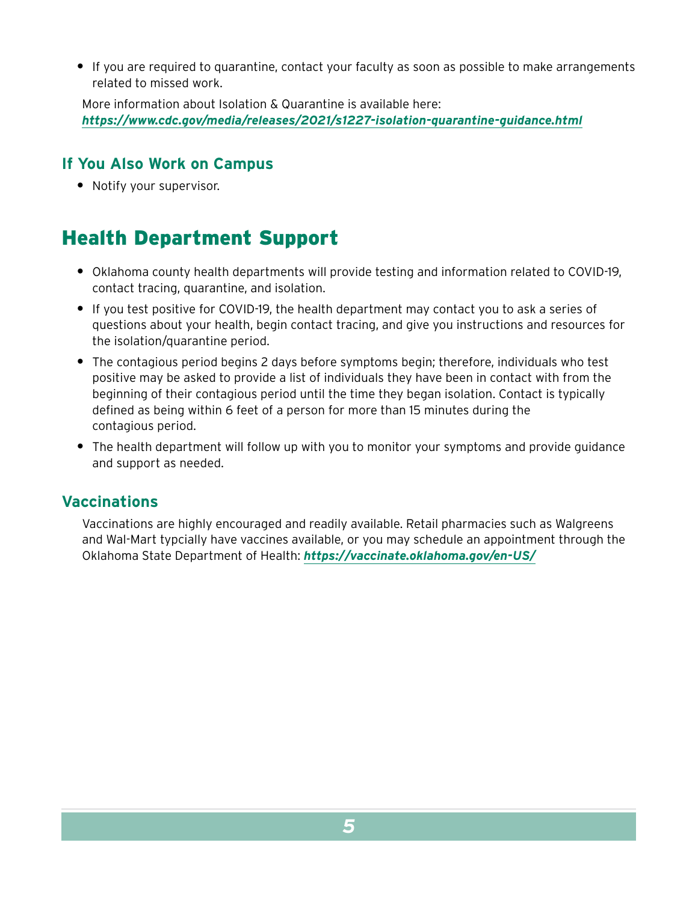<span id="page-4-0"></span>**•** If you are required to quarantine, contact your faculty as soon as possible to make arrangements related to missed work.

More information about Isolation & Quarantine is available here: *<https://www.cdc.gov/media/releases/2021/s1227-isolation-quarantine-guidance.html>*

### **If You Also Work on Campus**

**•** Notify your supervisor.

## Health Department Support

- **•** Oklahoma county health departments will provide testing and information related to COVID-19, contact tracing, quarantine, and isolation.
- **•** If you test positive for COVID-19, the health department may contact you to ask a series of questions about your health, begin contact tracing, and give you instructions and resources for the isolation/quarantine period.
- **•** The contagious period begins 2 days before symptoms begin; therefore, individuals who test positive may be asked to provide a list of individuals they have been in contact with from the beginning of their contagious period until the time they began isolation. Contact is typically defined as being within 6 feet of a person for more than 15 minutes during the contagious period.
- **•** The health department will follow up with you to monitor your symptoms and provide guidance and support as needed.

#### **Vaccinations**

Vaccinations are highly encouraged and readily available. Retail pharmacies such as Walgreens and Wal-Mart typcially have vaccines available, or you may schedule an appointment through the Oklahoma State Department of Health: *<https://vaccinate.oklahoma.gov/en-US/>*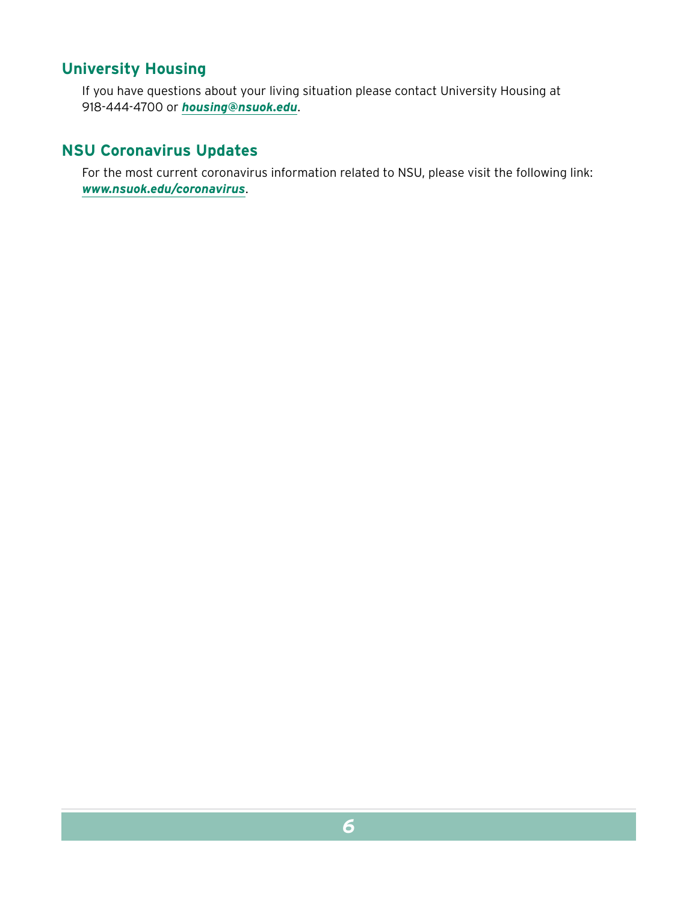### <span id="page-5-0"></span>**University Housing**

If you have questions about your living situation please contact University Housing at 918-444-4700 or *[housing@nsuok.edu](mailto:housing%40nsuok.edu?subject=)*.

### **NSU Coronavirus Updates**

For the most current coronavirus information related to NSU, please visit the following link: *[www.nsuok.edu/coronavirus](http://www.nsuok.edu/coronavirus)*.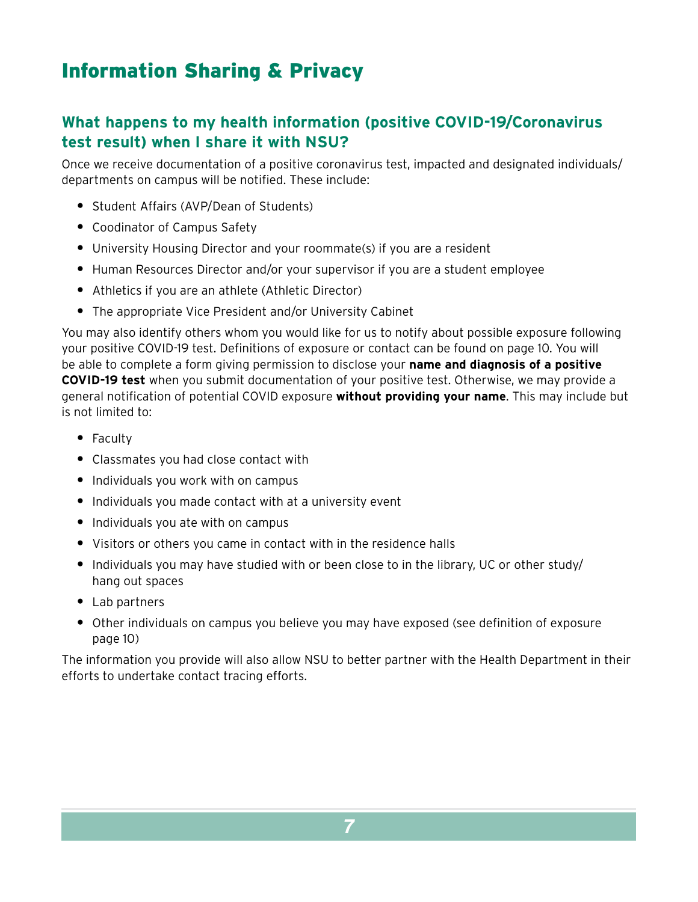## <span id="page-6-0"></span>Information Sharing & Privacy

## **What happens to my health information (positive COVID-19/Coronavirus test result) when I share it with NSU?**

Once we receive documentation of a positive coronavirus test, impacted and designated individuals/ departments on campus will be notified. These include:

- **•** Student Affairs (AVP/Dean of Students)
- **•** Coodinator of Campus Safety
- **•** University Housing Director and your roommate(s) if you are a resident
- **•** Human Resources Director and/or your supervisor if you are a student employee
- **•** Athletics if you are an athlete (Athletic Director)
- **•** The appropriate Vice President and/or University Cabinet

You may also identify others whom you would like for us to notify about possible exposure following your positive COVID-19 test. Definitions of exposure or contact can be found on [page 10](#page-9-1). You will be able to complete a form giving permission to disclose your **name and diagnosis of a positive COVID-19 test** when you submit documentation of your positive test. Otherwise, we may provide a general notification of potential COVID exposure **without providing your name**. This may include but is not limited to:

- **•** Faculty
- **•** Classmates you had close contact with
- **•** Individuals you work with on campus
- **•** Individuals you made contact with at a university event
- **•** Individuals you ate with on campus
- **•** Visitors or others you came in contact with in the residence halls
- **•** Individuals you may have studied with or been close to in the library, UC or other study/ hang out spaces
- **•** Lab partners
- **•** Other individuals on campus you believe you may have exposed (see definition of exposure [page 10](#page-9-1))

The information you provide will also allow NSU to better partner with the Health Department in their efforts to undertake contact tracing efforts.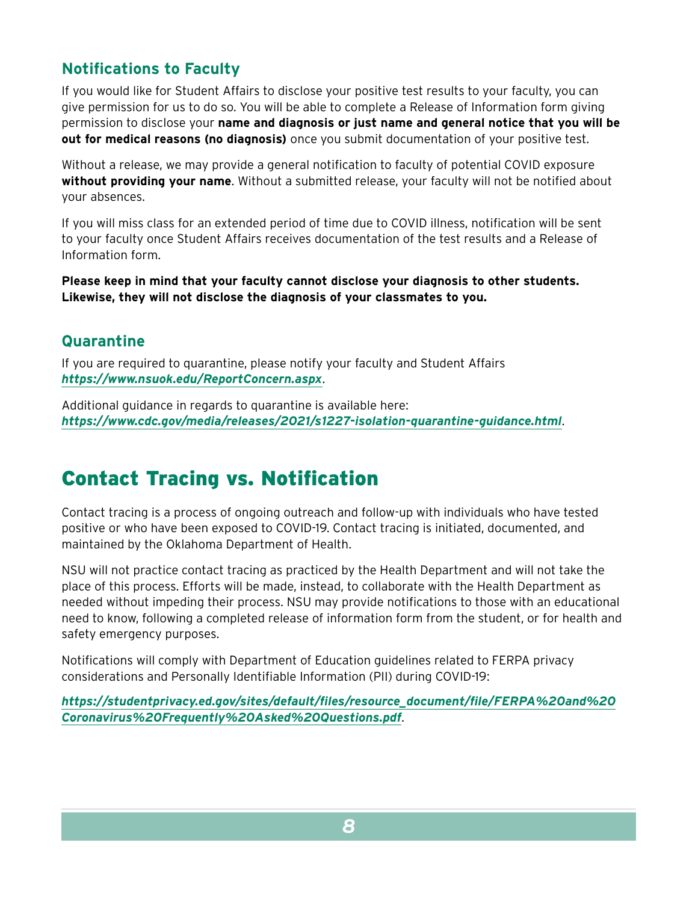## <span id="page-7-0"></span>**Notifications to Faculty**

If you would like for Student Affairs to disclose your positive test results to your faculty, you can give permission for us to do so. You will be able to complete a Release of Information form giving permission to disclose your **name and diagnosis or just name and general notice that you will be out for medical reasons (no diagnosis)** once you submit documentation of your positive test.

Without a release, we may provide a general notification to faculty of potential COVID exposure **without providing your name**. Without a submitted release, your faculty will not be notified about your absences.

If you will miss class for an extended period of time due to COVID illness, notification will be sent to your faculty once Student Affairs receives documentation of the test results and a Release of Information form.

**Please keep in mind that your faculty cannot disclose your diagnosis to other students. Likewise, they will not disclose the diagnosis of your classmates to you.**

### **Quarantine**

If you are required to quarantine, please notify your faculty and Student Affairs *<https://www.nsuok.edu/ReportConcern.aspx>*.

Additional guidance in regards to quarantine is available here: *<https://www.cdc.gov/media/releases/2021/s1227-isolation-quarantine-guidance.html>*.

## Contact Tracing vs. Notification

Contact tracing is a process of ongoing outreach and follow-up with individuals who have tested positive or who have been exposed to COVID-19. Contact tracing is initiated, documented, and maintained by the Oklahoma Department of Health.

NSU will not practice contact tracing as practiced by the Health Department and will not take the place of this process. Efforts will be made, instead, to collaborate with the Health Department as needed without impeding their process. NSU may provide notifications to those with an educational need to know, following a completed release of information form from the student, or for health and safety emergency purposes.

Notifications will comply with Department of Education guidelines related to FERPA privacy considerations and Personally Identifiable Information (PII) during COVID-19:

*[https://studentprivacy.ed.gov/sites/default/files/resource\\_document/file/FERPA%20and%20](https://studentprivacy.ed.gov/sites/default/files/resource_document/file/FERPA%20and%20Coronavirus%20Frequently%20Asked%20Questions.pdf) [Coronavirus%20Frequently%20Asked%20Questions.pdf](https://studentprivacy.ed.gov/sites/default/files/resource_document/file/FERPA%20and%20Coronavirus%20Frequently%20Asked%20Questions.pdf)*.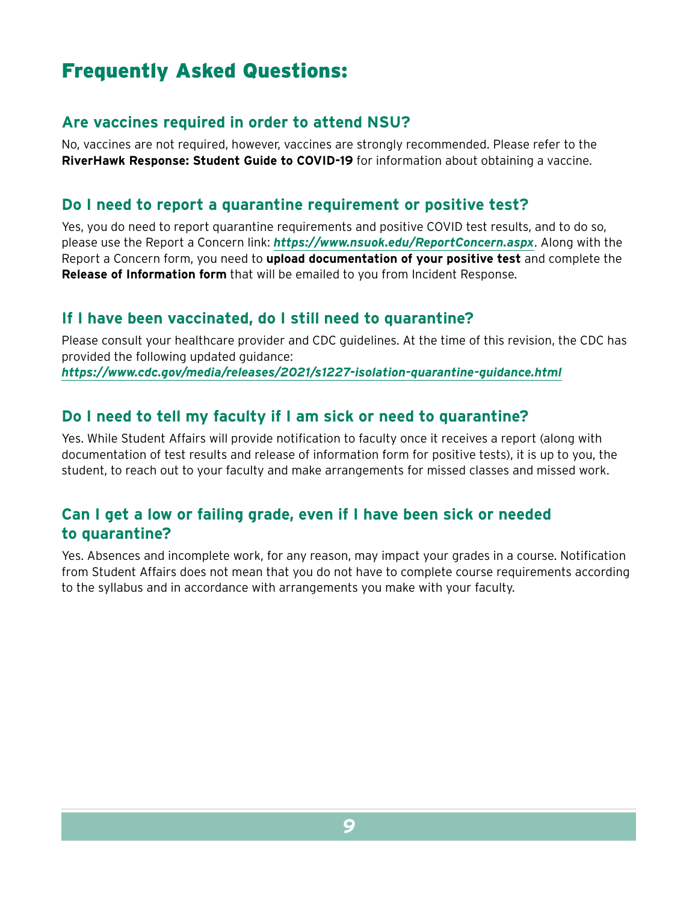## <span id="page-8-0"></span>Frequently Asked Questions:

#### **Are vaccines required in order to attend NSU?**

No, vaccines are not required, however, vaccines are strongly recommended. Please refer to the **RiverHawk Response: Student Guide to COVID-19** for information about obtaining a vaccine.

#### **Do I need to report a quarantine requirement or positive test?**

Yes, you do need to report quarantine requirements and positive COVID test results, and to do so, please use the Report a Concern link: *<https://www.nsuok.edu/ReportConcern.aspx>*. Along with the Report a Concern form, you need to **upload documentation of your positive test** and complete the **Release of Information form** that will be emailed to you from Incident Response.

#### **If I have been vaccinated, do I still need to quarantine?**

Please consult your healthcare provider and CDC guidelines. At the time of this revision, the CDC has provided the following updated guidance:

*<https://www.cdc.gov/media/releases/2021/s1227-isolation-quarantine-guidance.html>*

#### **Do I need to tell my faculty if I am sick or need to quarantine?**

Yes. While Student Affairs will provide notification to faculty once it receives a report (along with documentation of test results and release of information form for positive tests), it is up to you, the student, to reach out to your faculty and make arrangements for missed classes and missed work.

### **Can I get a low or failing grade, even if I have been sick or needed to quarantine?**

Yes. Absences and incomplete work, for any reason, may impact your grades in a course. Notification from Student Affairs does not mean that you do not have to complete course requirements according to the syllabus and in accordance with arrangements you make with your faculty.